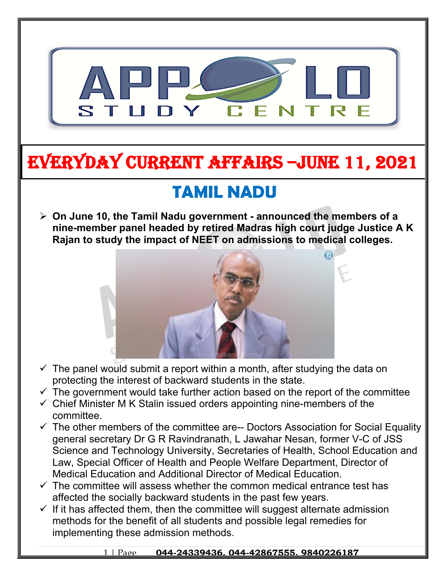

# **EVERYDAY CURRENT AFFAIRS –jUNE 11, 2021**

## **TAMIL NADU**

**-**

 **On June 10, the Tamil Nadu government - announced the members of a nine-member panel headed by retired Madras high court judge Justice A K Rajan to study the impact of NEET on admissions to medical colleges.**



- $\checkmark$  The panel would submit a report within a month, after studying the data on protecting the interest of backward students in the state.
- $\checkmark$  The government would take further action based on the report of the committee
- $\checkmark$  Chief Minister M K Stalin issued orders appointing nine-members of the committee.
- $\checkmark$  The other members of the committee are-- Doctors Association for Social Equality general secretary Dr G R Ravindranath, L Jawahar Nesan, former V-C of JSS Science and Technology University, Secretaries of Health, School Education and Law, Special Officer of Health and People Welfare Department, Director of Medical Education and Additional Director of Medical Education.
- $\checkmark$  The committee will assess whether the common medical entrance test has affected the socially backward students in the past few years.
- $\checkmark$  If it has affected them, then the committee will suggest alternate admission methods for the benefit of all students and possible legal remedies for implementing these admission methods.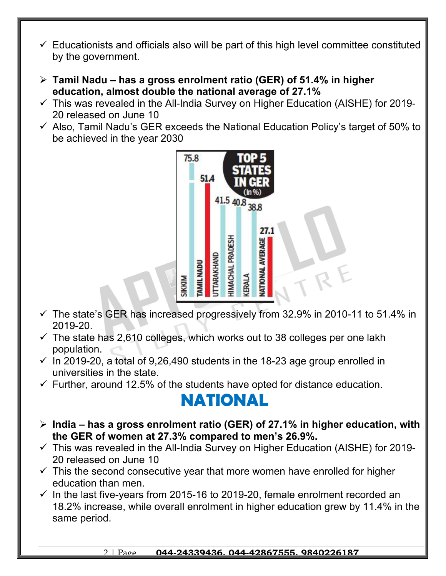- $\checkmark$  Educationists and officials also will be part of this high level committee constituted by the government.
- **Tamil Nadu has a gross enrolment ratio (GER) of 51.4% in higher education, almost double the national average of 27.1%**
- $\checkmark$  This was revealed in the All-India Survey on Higher Education (AISHE) for 2019-20 released on June 10
- $\checkmark$  Also, Tamil Nadu's GER exceeds the National Education Policy's target of 50% to be achieved in the year 2030



- $\checkmark$  The state's GER has increased progressively from 32.9% in 2010-11 to 51.4% in 2019-20.
- $\checkmark$  The state has 2,610 colleges, which works out to 38 colleges per one lakh population.
- $\checkmark$  In 2019-20, a total of 9.26,490 students in the 18-23 age group enrolled in universities in the state.
- $\checkmark$  Further, around 12.5% of the students have opted for distance education.

### **NATIONAL**

- **India has a gross enrolment ratio (GER) of 27.1% in higher education, with the GER of women at 27.3% compared to men's 26.9%.**
- $\checkmark$  This was revealed in the All-India Survey on Higher Education (AISHE) for 2019-20 released on June 10
- $\checkmark$  This the second consecutive year that more women have enrolled for higher education than men.
- $\checkmark$  In the last five-years from 2015-16 to 2019-20, female enrolment recorded an 18.2% increase, while overall enrolment in higher education grew by 11.4% in the same period.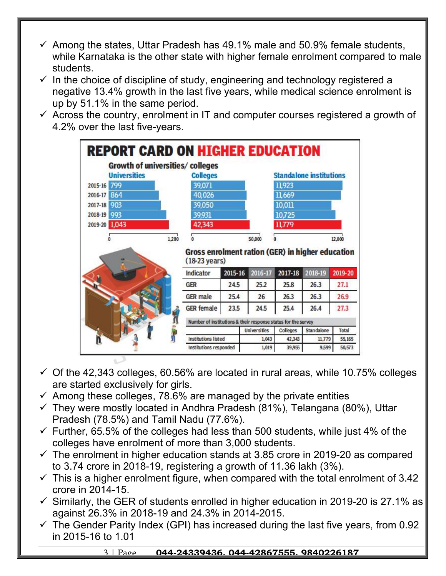- $\checkmark$  Among the states, Uttar Pradesh has 49.1% male and 50.9% female students, while Karnataka is the other state with higher female enrolment compared to male students.
- $\checkmark$  In the choice of discipline of study, engineering and technology registered a negative 13.4% growth in the last five years, while medical science enrolment is up by 51.1% in the same period.
- $\checkmark$  Across the country, enrolment in IT and computer courses registered a growth of 4.2% over the last five-years.

|                     | <b>REPORT CARD ON HIGHER EDUCATION</b> |                                                               |         |                     |                 |                                |         |
|---------------------|----------------------------------------|---------------------------------------------------------------|---------|---------------------|-----------------|--------------------------------|---------|
|                     | Growth of universities/colleges        |                                                               |         |                     |                 |                                |         |
| <b>Universities</b> |                                        | <b>Colleges</b>                                               |         |                     |                 | <b>Standalone institutions</b> |         |
| 2015-16 799         |                                        | 39,071                                                        |         |                     | 11,923          |                                |         |
| 2016-17 864         |                                        | 40,026                                                        |         |                     | 11,669          |                                |         |
| 2017-18 903         |                                        | 39,050                                                        |         |                     | 10,011          |                                |         |
| 2018-19 993         |                                        | 39,931                                                        |         |                     | 10,725          |                                |         |
| 2019-20 1.043       |                                        | 42,343                                                        |         |                     | 11,779          |                                |         |
|                     |                                        |                                                               |         | 50,000              | 0               |                                | 12,000  |
| 0                   | 1,200                                  | n<br>Gross enrolment ration (GER) in higher education         |         |                     |                 |                                |         |
|                     |                                        | $(18-23 \text{ years})$                                       |         |                     |                 |                                |         |
|                     |                                        | Indicator                                                     | 2015-16 | 2016-17             | 2017-18         | 2018-19                        | 2019-20 |
|                     |                                        | <b>GER</b>                                                    | 24.5    | 25.2                | 25.8            | 26.3                           | 27.1    |
|                     |                                        | <b>GER</b> male                                               | 25.4    | 26                  | 26.3            | 26.3                           | 26.9    |
|                     |                                        | <b>GER</b> female                                             | 23.5    | 24.5                | 25.4            | 26.4                           | 27.3    |
|                     |                                        | Number of institutions & their response status for the survey |         |                     |                 |                                |         |
|                     |                                        |                                                               |         | <b>Universities</b> | <b>Colleges</b> | <b>Standalone</b>              | Total   |
|                     |                                        | <b>Institutions listed</b>                                    |         | 1,043               | 42,343          | 11,779                         | 55,165  |

- $\checkmark$  Of the 42,343 colleges, 60.56% are located in rural areas, while 10.75% colleges are started exclusively for girls.
- $\checkmark$  Among these colleges, 78.6% are managed by the private entities
- $\checkmark$  They were mostly located in Andhra Pradesh (81%), Telangana (80%), Uttar Pradesh (78.5%) and Tamil Nadu (77.6%).
- $\checkmark$  Further, 65.5% of the colleges had less than 500 students, while just 4% of the colleges have enrolment of more than 3,000 students.
- $\checkmark$  The enrolment in higher education stands at 3.85 crore in 2019-20 as compared to 3.74 crore in 2018-19, registering a growth of 11.36 lakh (3%).
- $\checkmark$  This is a higher enrolment figure, when compared with the total enrolment of 3.42 crore in 2014-15.
- $\checkmark$  Similarly, the GER of students enrolled in higher education in 2019-20 is 27.1% as against 26.3% in 2018-19 and 24.3% in 2014-2015.
- $\checkmark$  The Gender Parity Index (GPI) has increased during the last five years, from 0.92 in 2015-16 to 1.01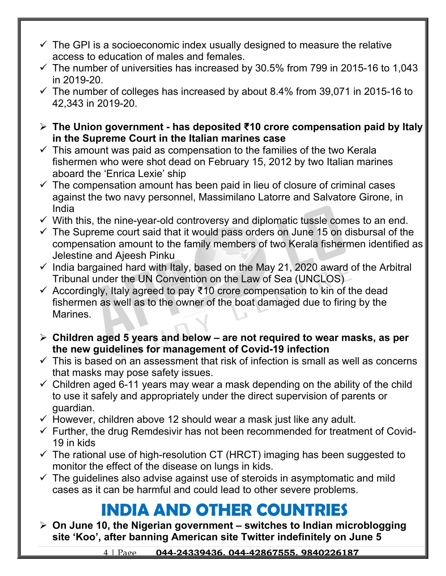- $\checkmark$  The GPI is a socioeconomic index usually designed to measure the relative access to education of males and females.
- $\checkmark$  The number of universities has increased by 30.5% from 799 in 2015-16 to 1,043 in 2019-20.
- $\checkmark$  The number of colleges has increased by about 8.4% from 39,071 in 2015-16 to 42,343 in 2019-20.
- **The Union government has deposited ₹10 crore compensation paid by Italy in the Supreme Court in the Italian marines case**
- $\checkmark$  This amount was paid as compensation to the families of the two Kerala fishermen who were shot dead on February 15, 2012 by two Italian marines aboard the 'Enrica Lexie' ship
- $\checkmark$  The compensation amount has been paid in lieu of closure of criminal cases against the two navy personnel, Massimilano Latorre and Salvatore Girone, in India
- $\checkmark$  With this, the nine-year-old controversy and diplomatic tussle comes to an end.
- $\checkmark$  The Supreme court said that it would pass orders on June 15 on disbursal of the compensation amount to the family members of two Kerala fishermen identified as Jelestine and Ajeesh Pinku
- $\checkmark$  India bargained hard with Italy, based on the May 21, 2020 award of the Arbitral Tribunal under the UN Convention on the Law of Sea (UNCLOS)
- $\checkmark$  Accordingly, Italy agreed to pay ₹10 crore compensation to kin of the dead fishermen as well as to the owner of the boat damaged due to firing by the Marines.
- **Children aged 5 years and below are not required to wear masks, as per the new guidelines for management of Covid-19 infection**
- $\checkmark$  This is based on an assessment that risk of infection is small as well as concerns that masks may pose safety issues.
- $\checkmark$  Children aged 6-11 years may wear a mask depending on the ability of the child to use it safely and appropriately under the direct supervision of parents or guardian.
- $\checkmark$  However, children above 12 should wear a mask just like any adult.
- $\checkmark$  Further, the drug Remdesivir has not been recommended for treatment of Covid-19 in kids
- $\checkmark$  The rational use of high-resolution CT (HRCT) imaging has been suggested to monitor the effect of the disease on lungs in kids.
- $\checkmark$  The guidelines also advise against use of steroids in asymptomatic and mild cases as it can be harmful and could lead to other severe problems.

## **INDIA AND OTHER COUNTRIES**

 **On June 10, the Nigerian government – switches to Indian microblogging site 'Koo', after banning American site Twitter indefinitely on June 5**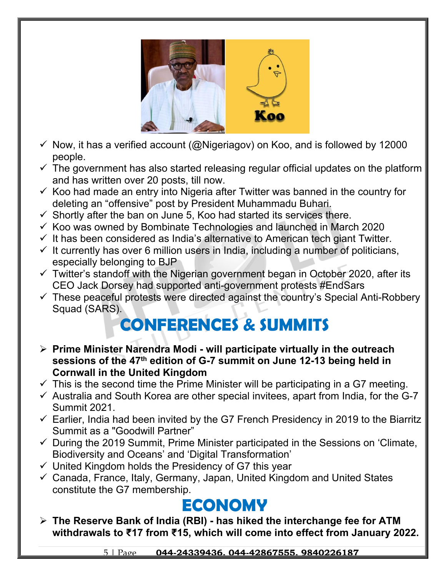

- $\checkmark$  Now, it has a verified account (@Nigeriagov) on Koo, and is followed by 12000 people.
- $\checkmark$  The government has also started releasing regular official updates on the platform and has written over 20 posts, till now.
- $\checkmark$  Koo had made an entry into Nigeria after Twitter was banned in the country for deleting an "offensive" post by President Muhammadu Buhari.
- $\checkmark$  Shortly after the ban on June 5, Koo had started its services there.
- $\checkmark$  Koo was owned by Bombinate Technologies and launched in March 2020
- $\checkmark$  It has been considered as India's alternative to American tech giant Twitter.
- $\checkmark$  It currently has over 6 million users in India, including a number of politicians, especially belonging to BJP
- $\checkmark$  Twitter's standoff with the Nigerian government began in October 2020, after its CEO Jack Dorsey had supported anti-government protests #EndSars
- $\checkmark$  These peaceful protests were directed against the country's Special Anti-Robbery Squad (SARS).

## **CONFERENCES & SUMMITS**

- **Prime Minister Narendra Modi will participate virtually in the outreach sessions of the 47th edition of G-7 summit on June 12-13 being held in Cornwall in the United Kingdom**
- $\checkmark$  This is the second time the Prime Minister will be participating in a G7 meeting.
- $\checkmark$  Australia and South Korea are other special invitees, apart from India, for the G-7 Summit 2021.
- $\checkmark$  Earlier, India had been invited by the G7 French Presidency in 2019 to the Biarritz Summit as a "Goodwill Partner"
- $\checkmark$  During the 2019 Summit, Prime Minister participated in the Sessions on 'Climate, Biodiversity and Oceans' and 'Digital Transformation'
- $\checkmark$  United Kingdom holds the Presidency of G7 this year
- Canada, France, Italy, Germany, Japan, United Kingdom and United States constitute the G7 membership.

## **ECONOMY**

 **The Reserve Bank of India (RBI) - has hiked the interchange fee for ATM withdrawals to ₹17 from ₹15, which will come into effect from January 2022.**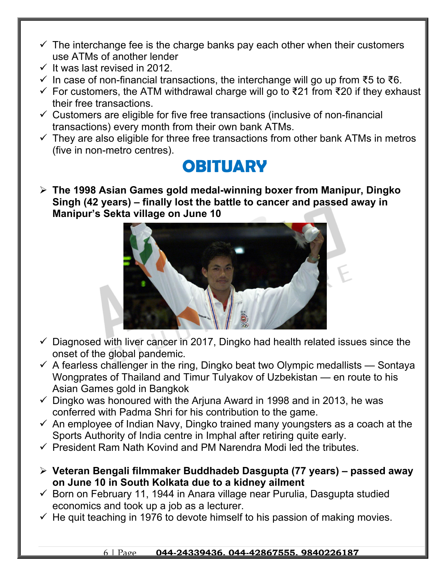- $\checkmark$  The interchange fee is the charge banks pay each other when their customers use ATMs of another lender
- $\checkmark$  It was last revised in 2012.
- $\checkmark$  In case of non-financial transactions, the interchange will go up from ₹5 to ₹6.
- $\checkmark$  For customers, the ATM withdrawal charge will go to ₹21 from ₹20 if they exhaust their free transactions.
- $\checkmark$  Customers are eligible for five free transactions (inclusive of non-financial transactions) every month from their own bank ATMs.
- $\checkmark$  They are also eligible for three free transactions from other bank ATMs in metros (five in non-metro centres).

#### **OBITUARY**

 **The 1998 Asian Games gold medal-winning boxer from Manipur, Dingko Singh (42 years) – finally lost the battle to cancer and passed away in Manipur's Sekta village on June 10**



- $\checkmark$  Diagnosed with liver cancer in 2017, Dingko had health related issues since the onset of the global pandemic.
- $\checkmark$  A fearless challenger in the ring, Dingko beat two Olympic medallists Sontaya Wongprates of Thailand and Timur Tulyakov of Uzbekistan — en route to his Asian Games gold in Bangkok
- $\checkmark$  Dingko was honoured with the Arjuna Award in 1998 and in 2013, he was conferred with Padma Shri for his contribution to the game.
- $\checkmark$  An employee of Indian Navy, Dingko trained many youngsters as a coach at the Sports Authority of India centre in Imphal after retiring quite early.
- $\checkmark$  President Ram Nath Kovind and PM Narendra Modi led the tributes.
- **Veteran Bengali filmmaker Buddhadeb Dasgupta (77 years) passed away on June 10 in South Kolkata due to a kidney ailment**
- $\checkmark$  Born on February 11, 1944 in Anara village near Purulia, Dasqupta studied economics and took up a job as a lecturer.
- $\checkmark$  He quit teaching in 1976 to devote himself to his passion of making movies.

#### 6 | Page **044-24339436, 044-42867555, 9840226187**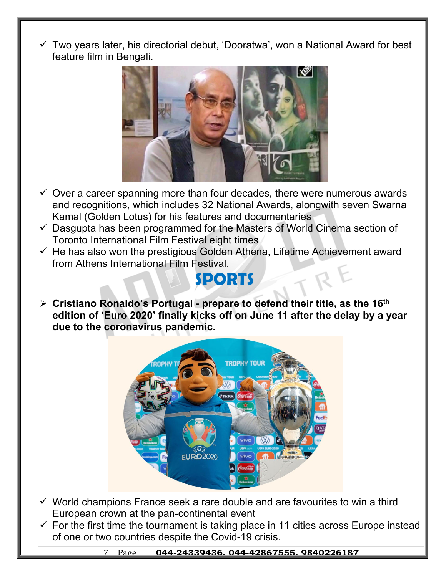$\checkmark$  Two years later, his directorial debut, 'Dooratwa', won a National Award for best feature film in Bengali.



- $\checkmark$  Over a career spanning more than four decades, there were numerous awards and recognitions, which includes 32 National Awards, alongwith seven Swarna Kamal (Golden Lotus) for his features and documentaries
- $\checkmark$  Dasqupta has been programmed for the Masters of World Cinema section of Toronto International Film Festival eight times
- $\checkmark$  He has also won the prestigious Golden Athena, Lifetime Achievement award from Athens International Film Festival.

#### **SPORTS**

 **Cristiano Ronaldo's Portugal - prepare to defend their title, as the 16th edition of 'Euro 2020' finally kicks off on June 11 after the delay by a year due to the coronavirus pandemic.**



- $\checkmark$  World champions France seek a rare double and are favourites to win a third European crown at the pan-continental event
- $\checkmark$  For the first time the tournament is taking place in 11 cities across Europe instead of one or two countries despite the Covid-19 crisis.